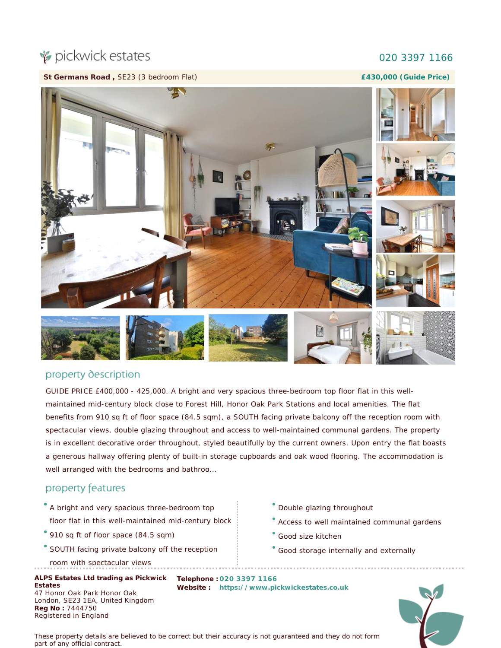# pickwick estates

#### 020 3397 1166

**St Germans Road ,** SE23 (3 bedroom Flat)

**£430,000 (Guide Price)**



### property description

GUIDE PRICE £400,000 - 425,000. A bright and very spacious three-bedroom top floor flat in this wellmaintained mid-century block close to Forest Hill, Honor Oak Park Stations and local amenities. The flat benefits from 910 sq ft of floor space (84.5 sqm), a SOUTH facing private balcony off the reception room with spectacular views, double glazing throughout and access to well-maintained communal gardens. The property is in excellent decorative order throughout, styled beautifully by the current owners. Upon entry the flat boasts a generous hallway offering plenty of built-in storage cupboards and oak wood flooring. The accommodation is well arranged with the bedrooms and bathroo...

### property features

- A bright and very spacious three-bedroom top floor flat in this well-maintained mid-century block
- <sup>9</sup> 910 sq ft of floor space (84.5 sqm)
- SOUTH facing private balcony off the reception
- room with spectacular views

**ALPS Estates Ltd trading as Pickwick Estates** 47 Honor Oak Park Honor Oak London, SE23 1EA, United Kingdom **Reg No :** 7444750 Registered in England

- Double glazing throughout
- Access to well maintained communal gardens
- Good size kitchen
- Good storage internally and externally

**Telephone : 020 3397 1166 Website : [https://www.pickwickestates.co.uk](https://www.pickwickestates.co.uk/)**



*These property details are believed to be correct but their accuracy is not guaranteed and they do not form part of any official contract.*